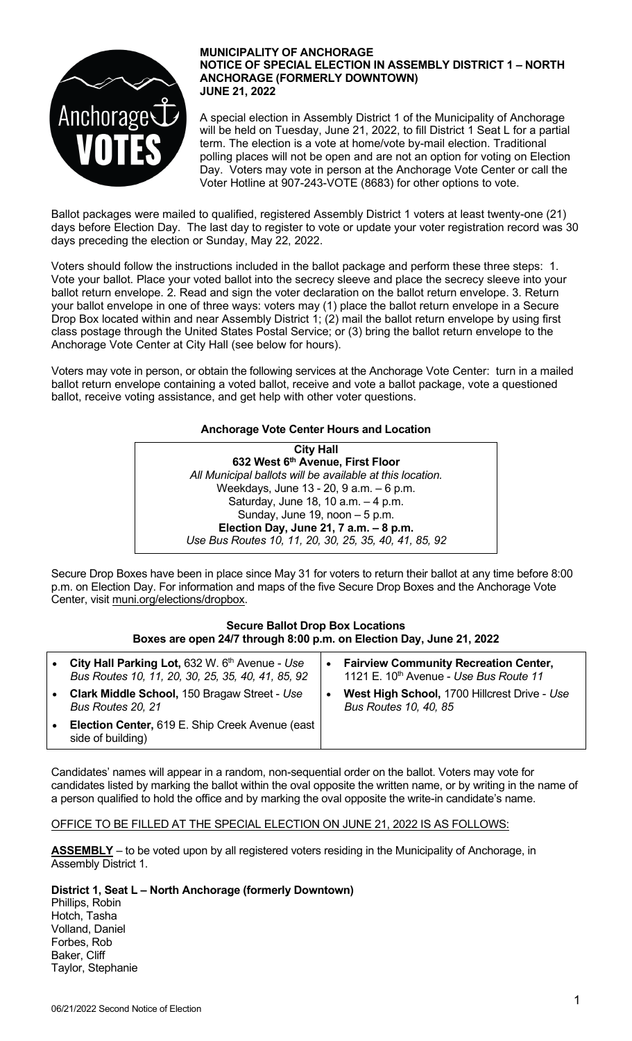

#### **MUNICIPALITY OF ANCHORAGE NOTICE OF SPECIAL ELECTION IN ASSEMBLY DISTRICT 1 – NORTH ANCHORAGE (FORMERLY DOWNTOWN) JUNE 21, 2022**

A special election in Assembly District 1 of the Municipality of Anchorage will be held on Tuesday, June 21, 2022, to fill District 1 Seat L for a partial term. The election is a vote at home/vote by-mail election. Traditional polling places will not be open and are not an option for voting on Election Day. Voters may vote in person at the Anchorage Vote Center or call the Voter Hotline at 907-243-VOTE (8683) for other options to vote.

Ballot packages were mailed to qualified, registered Assembly District 1 voters at least twenty-one (21) days before Election Day. The last day to register to vote or update your voter registration record was 30 days preceding the election or Sunday, May 22, 2022.

Voters should follow the instructions included in the ballot package and perform these three steps: 1. Vote your ballot. Place your voted ballot into the secrecy sleeve and place the secrecy sleeve into your ballot return envelope. 2. Read and sign the voter declaration on the ballot return envelope. 3. Return your ballot envelope in one of three ways: voters may (1) place the ballot return envelope in a Secure Drop Box located within and near Assembly District 1; (2) mail the ballot return envelope by using first class postage through the United States Postal Service; or (3) bring the ballot return envelope to the Anchorage Vote Center at City Hall (see below for hours).

Voters may vote in person, or obtain the following services at the Anchorage Vote Center: turn in a mailed ballot return envelope containing a voted ballot, receive and vote a ballot package, vote a questioned ballot, receive voting assistance, and get help with other voter questions.

## **Anchorage Vote Center Hours and Location**

**City Hall 632 West 6th Avenue, First Floor** *All Municipal ballots will be available at this location.* Weekdays, June 13 - 20, 9 a.m. – 6 p.m. Saturday, June 18, 10 a.m. – 4 p.m. Sunday, June 19, noon – 5 p.m. **Election Day, June 21, 7 a.m. – 8 p.m.** *Use Bus Routes 10, 11, 20, 30, 25, 35, 40, 41, 85, 92*

Secure Drop Boxes have been in place since May 31 for voters to return their ballot at any time before 8:00 p.m. on Election Day. For information and maps of the five Secure Drop Boxes and the Anchorage Vote Center, visit muni.org/elections/dropbox.

### **Secure Ballot Drop Box Locations Boxes are open 24/7 through 8:00 p.m. on Election Day, June 21, 2022**

| $\bullet$ | City Hall Parking Lot, 632 W. 6th Avenue - Use<br>Bus Routes 10, 11, 20, 30, 25, 35, 40, 41, 85, 92 | <b>Fairview Community Recreation Center,</b><br>1121 E. 10 <sup>th</sup> Avenue - Use Bus Route 11 |
|-----------|-----------------------------------------------------------------------------------------------------|----------------------------------------------------------------------------------------------------|
| $\bullet$ | Clark Middle School, 150 Bragaw Street - Use<br>Bus Routes 20, 21                                   | West High School, 1700 Hillcrest Drive - Use<br><b>Bus Routes 10, 40, 85</b>                       |
| $\bullet$ | Election Center, 619 E. Ship Creek Avenue (east<br>side of building)                                |                                                                                                    |

Candidates' names will appear in a random, non-sequential order on the ballot. Voters may vote for candidates listed by marking the ballot within the oval opposite the written name, or by writing in the name of a person qualified to hold the office and by marking the oval opposite the write-in candidate's name.

# OFFICE TO BE FILLED AT THE SPECIAL ELECTION ON JUNE 21, 2022 IS AS FOLLOWS:

**ASSEMBLY** – to be voted upon by all registered voters residing in the Municipality of Anchorage, in Assembly District 1.

## **District 1, Seat L – North Anchorage (formerly Downtown)**

Phillips, Robin Hotch, Tasha Volland, Daniel Forbes, Rob Baker, Cliff Taylor, Stephanie